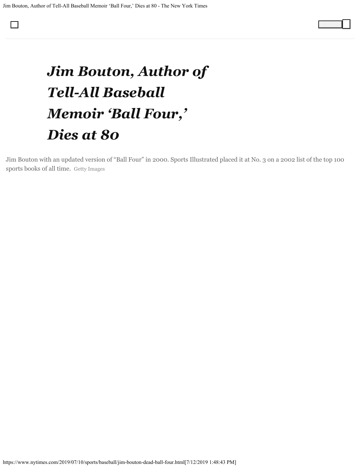$\Box$ 

# *Jim Bouton, Author of Tell-All Baseball Memoir 'Ball Four,' Dies at 80*

Jim Bouton with an updated version of "Ball Four" in 2000. Sports Illustrated placed it at No. 3 on a 2002 list of the top 100 sports books of all time. Getty Images

Account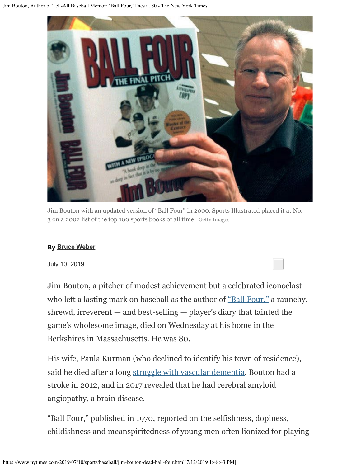

Jim Bouton with an updated version of "Ball Four" in 2000. Sports Illustrated placed it at No. 3 on a 2002 list of the top 100 sports books of all time. Getty Images

### **By [Bruce Weber](https://www.nytimes.com/by/bruce-weber)**

July 10, 2019

Jim Bouton, a pitcher of modest achievement but a celebrated iconoclast who left a lasting mark on baseball as the author of ["Ball Four,"](https://sabr.org/bioproj/topic/ball-four) a raunchy, shrewd, irreverent — and best-selling — player's diary that tainted the game's wholesome image, died on Wednesday at his home in the Berkshires in Massachusetts. He was 80.

His wife, Paula Kurman (who declined to identify his town of residence), said he died after a long [struggle with vascular dementia](https://www.nytimes.com/2017/07/01/sports/baseball/jim-bouton-brain-disease.html?module=inline). Bouton had a stroke in 2012, and in 2017 revealed that he had cerebral amyloid angiopathy, a brain disease.

"Ball Four," published in 1970, reported on the selfishness, dopiness, childishness and meanspiritedness of young men often lionized for playing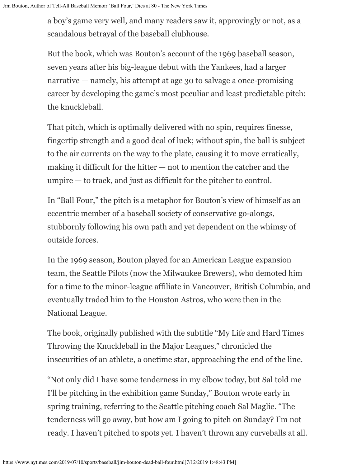a boy's game very well, and many readers saw it, approvingly or not, as a scandalous betrayal of the baseball clubhouse.

But the book, which was Bouton's account of the 1969 baseball season, seven years after his big-league debut with the Yankees, had a larger narrative — namely, his attempt at age 30 to salvage a once-promising career by developing the game's most peculiar and least predictable pitch: the knuckleball.

That pitch, which is optimally delivered with no spin, requires finesse, fingertip strength and a good deal of luck; without spin, the ball is subject to the air currents on the way to the plate, causing it to move erratically, making it difficult for the hitter — not to mention the catcher and the umpire — to track, and just as difficult for the pitcher to control.

In "Ball Four," the pitch is a metaphor for Bouton's view of himself as an eccentric member of a baseball society of conservative go-alongs, stubbornly following his own path and yet dependent on the whimsy of outside forces.

In the 1969 season, Bouton played for an American League expansion team, the Seattle Pilots (now the Milwaukee Brewers), who demoted him for a time to the minor-league affiliate in Vancouver, British Columbia, and eventually traded him to the Houston Astros, who were then in the National League.

The book, originally published with the subtitle "My Life and Hard Times Throwing the Knuckleball in the Major Leagues," chronicled the insecurities of an athlete, a onetime star, approaching the end of the line.

"Not only did I have some tenderness in my elbow today, but Sal told me I'll be pitching in the exhibition game Sunday," Bouton wrote early in spring training, referring to the Seattle pitching coach Sal Maglie. "The tenderness will go away, but how am I going to pitch on Sunday? I'm not ready. I haven't pitched to spots yet. I haven't thrown any curveballs at all.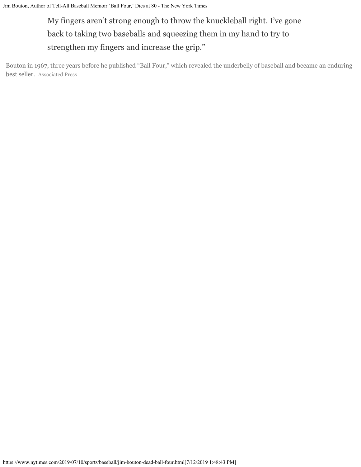My fingers aren't strong enough to throw the knuckleball right. I've gone back to taking two baseballs and squeezing them in my hand to try to strengthen my fingers and increase the grip."

Bouton in 1967, three years before he published "Ball Four," which revealed the underbelly of baseball and became an enduring best seller. Associated Press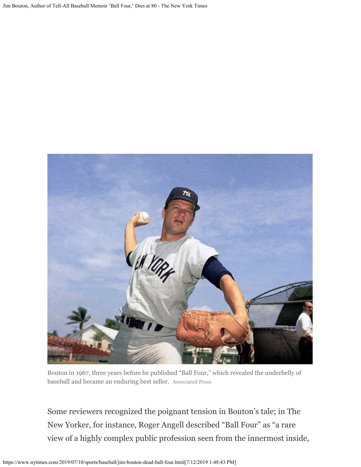

Bouton in 1967, three years before he published "Ball Four," which revealed the underbelly of baseball and became an enduring best seller. Associated Press

Some reviewers recognized the poignant tension in Bouton's tale; in The New Yorker, for instance, Roger Angell described "Ball Four" as "a rare view of a highly complex public profession seen from the innermost inside,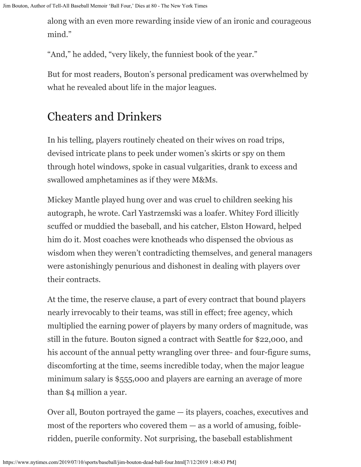along with an even more rewarding inside view of an ironic and courageous mind."

"And," he added, "very likely, the funniest book of the year."

But for most readers, Bouton's personal predicament was overwhelmed by what he revealed about life in the major leagues.

## Cheaters and Drinkers

In his telling, players routinely cheated on their wives on road trips, devised intricate plans to peek under women's skirts or spy on them through hotel windows, spoke in casual vulgarities, drank to excess and swallowed amphetamines as if they were M&Ms.

Mickey Mantle played hung over and was cruel to children seeking his autograph, he wrote. Carl Yastrzemski was a loafer. Whitey Ford illicitly scuffed or muddied the baseball, and his catcher, Elston Howard, helped him do it. Most coaches were knotheads who dispensed the obvious as wisdom when they weren't contradicting themselves, and general managers were astonishingly penurious and dishonest in dealing with players over their contracts.

At the time, the reserve clause, a part of every contract that bound players nearly irrevocably to their teams, was still in effect; free agency, which multiplied the earning power of players by many orders of magnitude, was still in the future. Bouton signed a contract with Seattle for \$22,000, and his account of the annual petty wrangling over three- and four-figure sums, discomforting at the time, seems incredible today, when the major league minimum salary is \$555,000 and players are earning an average of more than \$4 million a year.

Over all, Bouton portrayed the game — its players, coaches, executives and most of the reporters who covered them  $-$  as a world of amusing, foibleridden, puerile conformity. Not surprising, the baseball establishment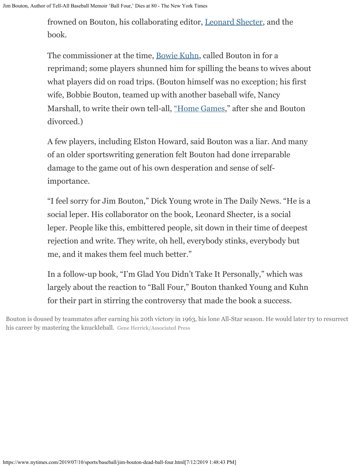frowned on Bouton, his collaborating editor, [Leonard Shecter,](https://www.nytimes.com/1974/01/20/archives/leonard-shecter-sportswriter-ball-four-co-author-is-dead-like-a.html?module=inline) and the book.

The commissioner at the time, [Bowie Kuhn](https://www.nytimes.com/2007/03/16/sports/baseball/16kuhn.html?module=inline), called Bouton in for a reprimand; some players shunned him for spilling the beans to wives about what players did on road trips. (Bouton himself was no exception; his first wife, Bobbie Bouton, teamed up with another baseball wife, Nancy Marshall, to write their own tell-all, ["Home Games](https://www.nytimes.com/1983/03/07/sports/painful-memories.html?module=inline)," after she and Bouton divorced.)

A few players, including Elston Howard, said Bouton was a liar. And many of an older sportswriting generation felt Bouton had done irreparable damage to the game out of his own desperation and sense of selfimportance.

"I feel sorry for Jim Bouton," Dick Young wrote in The Daily News. "He is a social leper. His collaborator on the book, Leonard Shecter, is a social leper. People like this, embittered people, sit down in their time of deepest rejection and write. They write, oh hell, everybody stinks, everybody but me, and it makes them feel much better."

In a follow-up book, "I'm Glad You Didn't Take It Personally," which was largely about the reaction to "Ball Four," Bouton thanked Young and Kuhn for their part in stirring the controversy that made the book a success.

Bouton is doused by teammates after earning his 20th victory in 1963, his lone All-Star season. He would later try to resurrect his career by mastering the knuckleball. Gene Herrick/Associated Press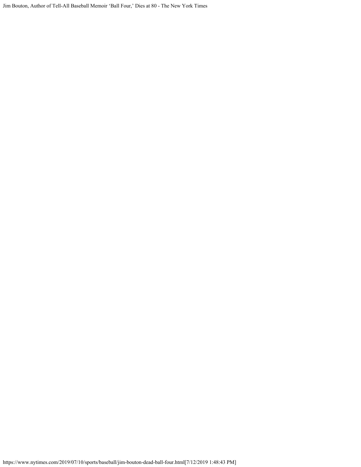Jim Bouton, Author of Tell-All Baseball Memoir 'Ball Four,' Dies at 80 - The New York Times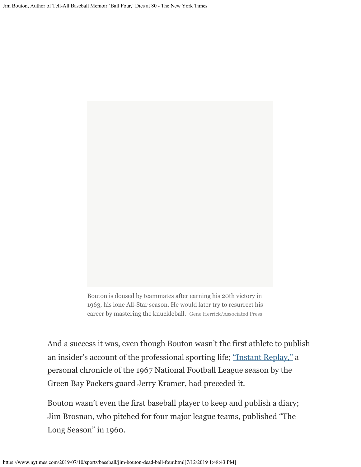

Bouton is doused by teammates after earning his 20th victory in 1963, his lone All-Star season. He would later try to resurrect his career by mastering the knuckleball. Gene Herrick/Associated Press

And a success it was, even though Bouton wasn't the first athlete to publish an insider's account of the professional sporting life; ["Instant Replay,"](https://bleacherreport.com/articles/2156939-green-bay-packers-jerry-kramer-talks-about-the-book-instant-replay) a personal chronicle of the 1967 National Football League season by the Green Bay Packers guard Jerry Kramer, had preceded it.

Bouton wasn't even the first baseball player to keep and publish a diary; Jim Brosnan, who pitched for four major league teams, published "The Long Season" in 1960.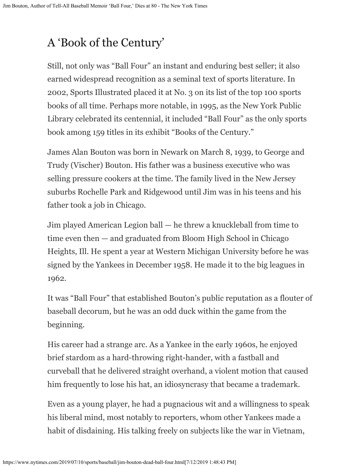# A 'Book of the Century'

Still, not only was "Ball Four" an instant and enduring best seller; it also earned widespread recognition as a seminal text of sports literature. In 2002, Sports Illustrated placed it at No. 3 on its list of the top 100 sports books of all time. Perhaps more notable, in 1995, as the New York Public Library celebrated its centennial, it included "Ball Four" as the only sports book among 159 titles in its exhibit "Books of the Century."

James Alan Bouton was born in Newark on March 8, 1939, to George and Trudy (Vischer) Bouton. His father was a business executive who was selling pressure cookers at the time. The family lived in the New Jersey suburbs Rochelle Park and Ridgewood until Jim was in his teens and his father took a job in Chicago.

Jim played American Legion ball — he threw a knuckleball from time to time even then — and graduated from Bloom High School in Chicago Heights, Ill. He spent a year at Western Michigan University before he was signed by the Yankees in December 1958. He made it to the big leagues in 1962.

It was "Ball Four" that established Bouton's public reputation as a flouter of baseball decorum, but he was an odd duck within the game from the beginning.

His career had a strange arc. As a Yankee in the early 1960s, he enjoyed brief stardom as a hard-throwing right-hander, with a fastball and curveball that he delivered straight overhand, a violent motion that caused him frequently to lose his hat, an idiosyncrasy that became a trademark.

Even as a young player, he had a pugnacious wit and a willingness to speak his liberal mind, most notably to reporters, whom other Yankees made a habit of disdaining. His talking freely on subjects like the war in Vietnam,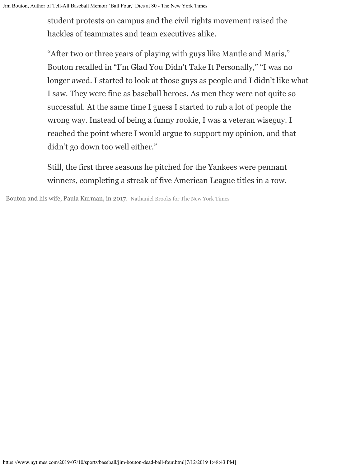student protests on campus and the civil rights movement raised the hackles of teammates and team executives alike.

"After two or three years of playing with guys like Mantle and Maris," Bouton recalled in "I'm Glad You Didn't Take It Personally," "I was no longer awed. I started to look at those guys as people and I didn't like what I saw. They were fine as baseball heroes. As men they were not quite so successful. At the same time I guess I started to rub a lot of people the wrong way. Instead of being a funny rookie, I was a veteran wiseguy. I reached the point where I would argue to support my opinion, and that didn't go down too well either."

Still, the first three seasons he pitched for the Yankees were pennant winners, completing a streak of five American League titles in a row.

Bouton and his wife, Paula Kurman, in 2017. Nathaniel Brooks for The New York Times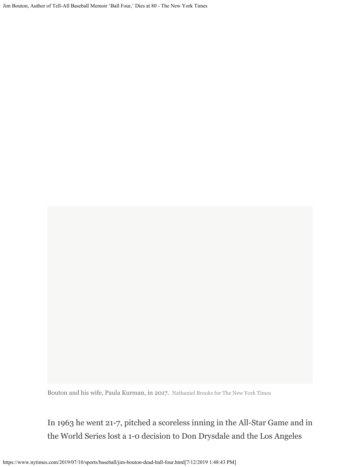Jim Bouton, Author of Tell-All Baseball Memoir 'Ball Four,' Dies at 80 - The New York Times

Bouton and his wife, Paula Kurman, in 2017. Nathaniel Brooks for The New York Times

### In 1963 he went 21-7, pitched a scoreless inning in the All-Star Game and in the World Series lost a 1-0 decision to Don Drysdale and the Los Angeles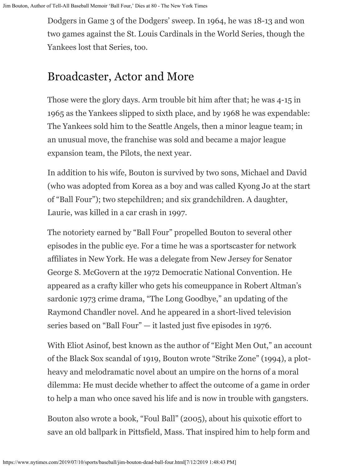Dodgers in Game 3 of the Dodgers' sweep. In 1964, he was 18-13 and won two games against the St. Louis Cardinals in the World Series, though the Yankees lost that Series, too.

### Broadcaster, Actor and More

Those were the glory days. Arm trouble bit him after that; he was 4-15 in 1965 as the Yankees slipped to sixth place, and by 1968 he was expendable: The Yankees sold him to the Seattle Angels, then a minor league team; in an unusual move, the franchise was sold and became a major league expansion team, the Pilots, the next year.

In addition to his wife, Bouton is survived by two sons, Michael and David (who was adopted from Korea as a boy and was called Kyong Jo at the start of "Ball Four"); two stepchildren; and six grandchildren. A daughter, Laurie, was killed in a car crash in 1997.

The notoriety earned by "Ball Four" propelled Bouton to several other episodes in the public eye. For a time he was a sportscaster for network affiliates in New York. He was a delegate from New Jersey for Senator George S. McGovern at the 1972 Democratic National Convention. He appeared as a crafty killer who gets his comeuppance in Robert Altman's sardonic 1973 crime drama, "The Long Goodbye," an updating of the Raymond Chandler novel. And he appeared in a short-lived television series based on "Ball Four" — it lasted just five episodes in 1976.

With Eliot Asinof, best known as the author of "Eight Men Out," an account of the Black Sox scandal of 1919, Bouton wrote "Strike Zone" (1994), a plotheavy and melodramatic novel about an umpire on the horns of a moral dilemma: He must decide whether to affect the outcome of a game in order to help a man who once saved his life and is now in trouble with gangsters.

Bouton also wrote a book, "Foul Ball" (2005), about his quixotic effort to save an old ballpark in Pittsfield, Mass. That inspired him to help form and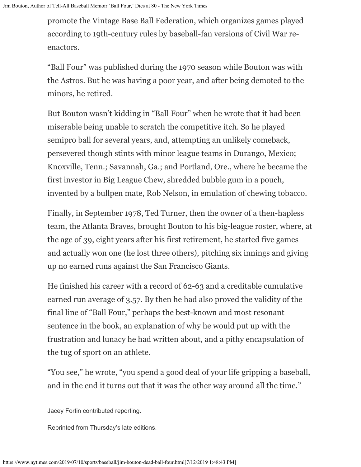promote the Vintage Base Ball Federation, which organizes games played according to 19th-century rules by baseball-fan versions of Civil War reenactors.

"Ball Four" was published during the 1970 season while Bouton was with the Astros. But he was having a poor year, and after being demoted to the minors, he retired.

But Bouton wasn't kidding in "Ball Four" when he wrote that it had been miserable being unable to scratch the competitive itch. So he played semipro ball for several years, and, attempting an unlikely comeback, persevered though stints with minor league teams in Durango, Mexico; Knoxville, Tenn.; Savannah, Ga.; and Portland, Ore., where he became the first investor in Big League Chew, shredded bubble gum in a pouch, invented by a bullpen mate, Rob Nelson, in emulation of chewing tobacco.

Finally, in September 1978, Ted Turner, then the owner of a then-hapless team, the Atlanta Braves, brought Bouton to his big-league roster, where, at the age of 39, eight years after his first retirement, he started five games and actually won one (he lost three others), pitching six innings and giving up no earned runs against the San Francisco Giants.

He finished his career with a record of 62-63 and a creditable cumulative earned run average of 3.57. By then he had also proved the validity of the final line of "Ball Four," perhaps the best-known and most resonant sentence in the book, an explanation of why he would put up with the frustration and lunacy he had written about, and a pithy encapsulation of the tug of sport on an athlete.

"You see," he wrote, "you spend a good deal of your life gripping a baseball, and in the end it turns out that it was the other way around all the time."

Jacey Fortin contributed reporting.

Reprinted from Thursday's late editions.